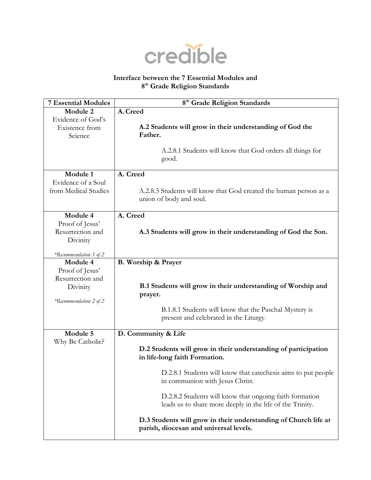

## **Interface between the 7 Essential Modules and 8 th Grade Religion Standards**

| <b>7 Essential Modules</b> | 8 <sup>th</sup> Grade Religion Standards                                                          |
|----------------------------|---------------------------------------------------------------------------------------------------|
| Module 2                   | A. Creed                                                                                          |
| Evidence of God's          |                                                                                                   |
| Existence from             | A.2 Students will grow in their understanding of God the                                          |
| Science                    | Father.                                                                                           |
|                            | A.2.8.1 Students will know that God orders all things for                                         |
|                            | good.                                                                                             |
|                            |                                                                                                   |
| Module 1                   | A. Creed                                                                                          |
| Evidence of a Soul         |                                                                                                   |
| from Medical Studies       | A.2.8.3 Students will know that God created the human person as a                                 |
|                            | union of body and soul.                                                                           |
|                            |                                                                                                   |
| Module 4                   | A. Creed                                                                                          |
| Proof of Jesus'            |                                                                                                   |
| Resurrection and           | A.3 Students will grow in their understanding of God the Son.                                     |
| Divinity                   |                                                                                                   |
| *Recommendation 1 of 2     |                                                                                                   |
| Module 4                   | B. Worship & Prayer                                                                               |
| Proof of Jesus'            |                                                                                                   |
| Resurrection and           |                                                                                                   |
| Divinity                   | B.1 Students will grow in their understanding of Worship and                                      |
|                            | prayer.                                                                                           |
| *Recommendation 2 of 2     | B.1.8.1 Students will know that the Paschal Mystery is                                            |
|                            | present and celebrated in the Liturgy.                                                            |
|                            |                                                                                                   |
| Module 5                   | D. Community & Life                                                                               |
| Why Be Catholic?           |                                                                                                   |
|                            | D.2 Students will grow in their understanding of participation                                    |
|                            | in life-long faith Formation.                                                                     |
|                            |                                                                                                   |
|                            | D.2.8.1 Students will know that cate chesis aims to put people<br>in communion with Jesus Christ. |
|                            |                                                                                                   |
|                            | D.2.8.2 Students will know that ongoing faith formation                                           |
|                            | leads us to share more deeply in the life of the Trinity.                                         |
|                            | D.3 Students will grow in their understanding of Church life at                                   |
|                            | parish, diocesan and universal levels.                                                            |
|                            |                                                                                                   |